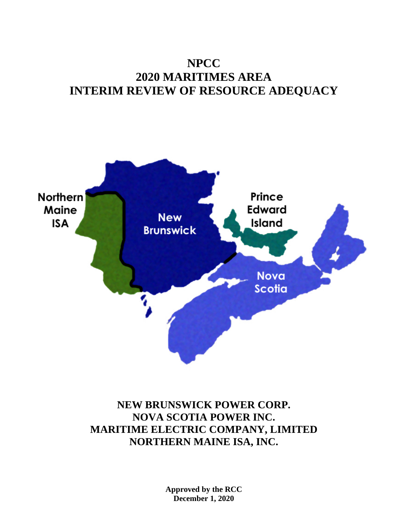



# **NEW BRUNSWICK POWER CORP. NOVA SCOTIA POWER INC. MARITIME ELECTRIC COMPANY, LIMITED NORTHERN MAINE ISA, INC.**

**Approved by the RCC December 1, 2020**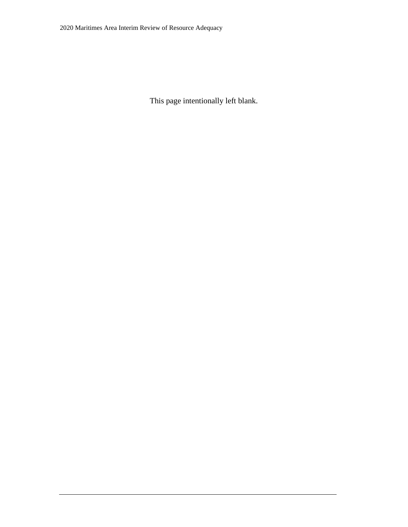This page intentionally left blank.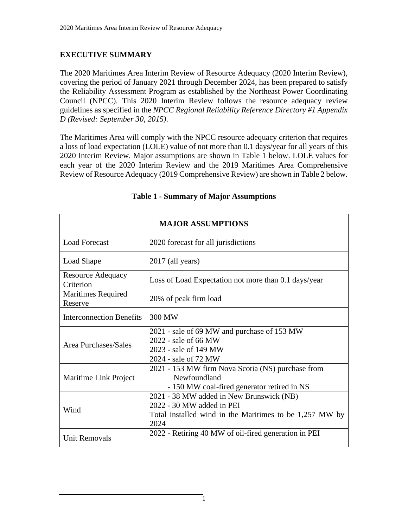## <span id="page-2-0"></span>**EXECUTIVE SUMMARY**

The 2020 Maritimes Area Interim Review of Resource Adequacy (2020 Interim Review), covering the period of January 2021 through December 2024, has been prepared to satisfy the Reliability Assessment Program as established by the Northeast Power Coordinating Council (NPCC). This 2020 Interim Review follows the resource adequacy review guidelines as specified in the *NPCC Regional Reliability Reference Directory #1 Appendix D (Revised: September 30, 2015)*.

The Maritimes Area will comply with the NPCC resource adequacy criterion that requires a loss of load expectation (LOLE) value of not more than 0.1 days/year for all years of this 2020 Interim Review. Major assumptions are shown in Table 1 below. LOLE values for each year of the 2020 Interim Review and the 2019 Maritimes Area Comprehensive Review of Resource Adequacy (2019 Comprehensive Review) are shown in Table 2 below.

<span id="page-2-1"></span>

| <b>MAJOR ASSUMPTIONS</b>              |                                                                                                                                          |  |  |  |
|---------------------------------------|------------------------------------------------------------------------------------------------------------------------------------------|--|--|--|
| <b>Load Forecast</b>                  | 2020 forecast for all jurisdictions                                                                                                      |  |  |  |
| Load Shape                            | 2017 (all years)                                                                                                                         |  |  |  |
| <b>Resource Adequacy</b><br>Criterion | Loss of Load Expectation not more than 0.1 days/year                                                                                     |  |  |  |
| <b>Maritimes Required</b><br>Reserve  | 20% of peak firm load                                                                                                                    |  |  |  |
| <b>Interconnection Benefits</b>       | 300 MW                                                                                                                                   |  |  |  |
| Area Purchases/Sales                  | 2021 - sale of 69 MW and purchase of 153 MW<br>2022 - sale of 66 MW<br>2023 - sale of 149 MW<br>2024 - sale of 72 MW                     |  |  |  |
| Maritime Link Project                 | 2021 - 153 MW firm Nova Scotia (NS) purchase from<br>Newfoundland<br>- 150 MW coal-fired generator retired in NS                         |  |  |  |
| Wind                                  | 2021 - 38 MW added in New Brunswick (NB)<br>2022 - 30 MW added in PEI<br>Total installed wind in the Maritimes to be 1,257 MW by<br>2024 |  |  |  |
| <b>Unit Removals</b>                  | 2022 - Retiring 40 MW of oil-fired generation in PEI                                                                                     |  |  |  |

#### **Table 1 - Summary of Major Assumptions**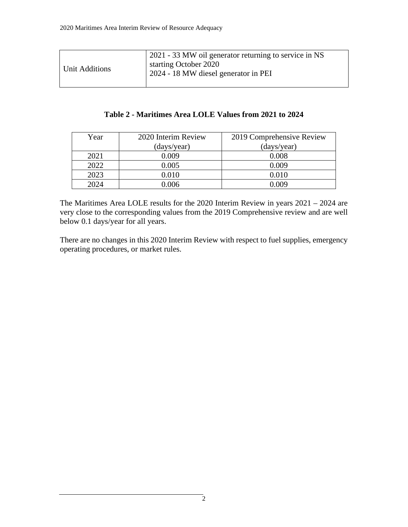|                | 2021 - 33 MW oil generator returning to service in NS<br>starting October 2020 |  |  |
|----------------|--------------------------------------------------------------------------------|--|--|
| Unit Additions | 2024 - 18 MW diesel generator in PEI                                           |  |  |
|                |                                                                                |  |  |

#### **Table 2 - Maritimes Area LOLE Values from 2021 to 2024**

<span id="page-3-0"></span>

| Year | 2020 Interim Review | 2019 Comprehensive Review |
|------|---------------------|---------------------------|
|      | (days/year)         | (days/year)               |
| 2021 | 0.009               | 0.008                     |
| 2022 | 0.005               | 0.009                     |
| 2023 | 0.010               | 0.010                     |
| 2024 | 0.006               |                           |

The Maritimes Area LOLE results for the 2020 Interim Review in years 2021 – 2024 are very close to the corresponding values from the 2019 Comprehensive review and are well below 0.1 days/year for all years.

There are no changes in this 2020 Interim Review with respect to fuel supplies, emergency operating procedures, or market rules.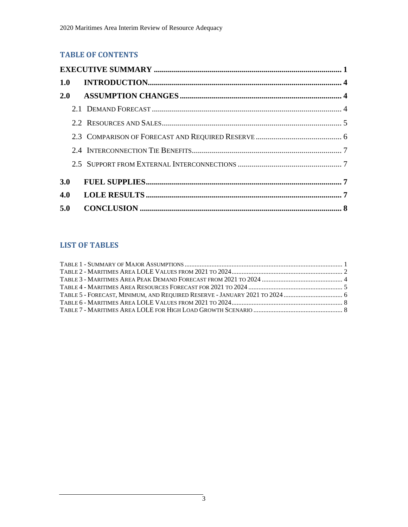# **TABLE OF CONTENTS**

| 1.0 |  |  |
|-----|--|--|
| 2.0 |  |  |
|     |  |  |
|     |  |  |
|     |  |  |
|     |  |  |
|     |  |  |
| 3.0 |  |  |
| 4.0 |  |  |
| 5.0 |  |  |

# **LIST OF TABLES**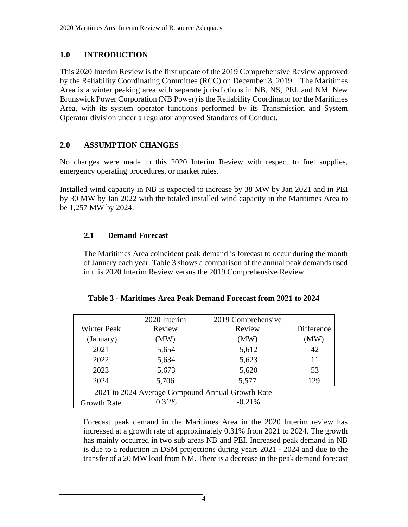# <span id="page-5-0"></span>**1.0 INTRODUCTION**

This 2020 Interim Review is the first update of the 2019 Comprehensive Review approved by the Reliability Coordinating Committee (RCC) on December 3, 2019. The Maritimes Area is a winter peaking area with separate jurisdictions in NB, NS, PEI, and NM. New Brunswick Power Corporation (NB Power) is the Reliability Coordinator for the Maritimes Area, with its system operator functions performed by its Transmission and System Operator division under a regulator approved Standards of Conduct.

## <span id="page-5-1"></span>**2.0 ASSUMPTION CHANGES**

No changes were made in this 2020 Interim Review with respect to fuel supplies, emergency operating procedures, or market rules.

Installed wind capacity in NB is expected to increase by 38 MW by Jan 2021 and in PEI by 30 MW by Jan 2022 with the totaled installed wind capacity in the Maritimes Area to be 1,257 MW by 2024.

#### <span id="page-5-2"></span>**2.1 Demand Forecast**

The Maritimes Area coincident peak demand is forecast to occur during the month of January each year. Table 3 shows a comparison of the annual peak demands used in this 2020 Interim Review versus the 2019 Comprehensive Review.

| Table 3 - Maritimes Area Peak Demand Forecast from 2021 to 2024 |  |  |
|-----------------------------------------------------------------|--|--|
|-----------------------------------------------------------------|--|--|

<span id="page-5-3"></span>

|                                                  | 2020 Interim | 2019 Comprehensive |            |
|--------------------------------------------------|--------------|--------------------|------------|
| <b>Winter Peak</b>                               | Review       | Review             | Difference |
| (January)                                        | (MW)         | (MW)               | (MW)       |
| 2021                                             | 5,654        | 5,612              | 42         |
| 2022                                             | 5,634        | 5,623              | 11         |
| 2023                                             | 5,673        | 5,620              | 53         |
| 2024                                             | 5,706        | 5,577              | 129        |
| 2021 to 2024 Average Compound Annual Growth Rate |              |                    |            |
| <b>Growth Rate</b>                               | 0.31%        | $-0.21%$           |            |

Forecast peak demand in the Maritimes Area in the 2020 Interim review has increased at a growth rate of approximately 0.31% from 2021 to 2024. The growth has mainly occurred in two sub areas NB and PEI. Increased peak demand in NB is due to a reduction in DSM projections during years 2021 - 2024 and due to the transfer of a 20 MW load from NM. There is a decrease in the peak demand forecast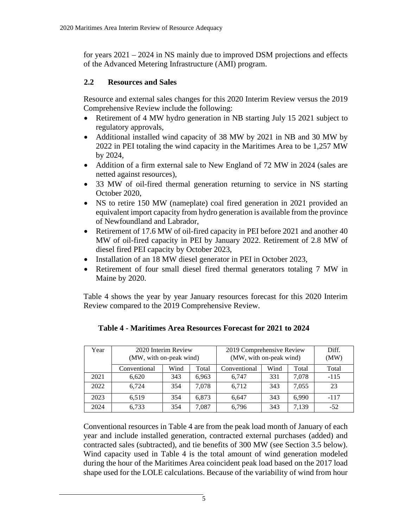for years 2021 – 2024 in NS mainly due to improved DSM projections and effects of the Advanced Metering Infrastructure (AMI) program.

#### <span id="page-6-0"></span>**2.2 Resources and Sales**

Resource and external sales changes for this 2020 Interim Review versus the 2019 Comprehensive Review include the following:

- Retirement of 4 MW hydro generation in NB starting July 15 2021 subject to regulatory approvals,
- Additional installed wind capacity of 38 MW by 2021 in NB and 30 MW by 2022 in PEI totaling the wind capacity in the Maritimes Area to be 1,257 MW by 2024,
- Addition of a firm external sale to New England of 72 MW in 2024 (sales are netted against resources),
- 33 MW of oil-fired thermal generation returning to service in NS starting October 2020,
- NS to retire 150 MW (nameplate) coal fired generation in 2021 provided an equivalent import capacity from hydro generation is available from the province of Newfoundland and Labrador,
- Retirement of 17.6 MW of oil-fired capacity in PEI before 2021 and another 40 MW of oil-fired capacity in PEI by January 2022. Retirement of 2.8 MW of diesel fired PEI capacity by October 2023,
- Installation of an 18 MW diesel generator in PEI in October 2023,
- Retirement of four small diesel fired thermal generators totaling 7 MW in Maine by 2020.

Table 4 shows the year by year January resources forecast for this 2020 Interim Review compared to the 2019 Comprehensive Review.

<span id="page-6-1"></span>

| Year | 2020 Interim Review<br>(MW, with on-peak wind) |      | 2019 Comprehensive Review<br>(MW, with on-peak wind) |              |               | Diff.<br>(MW) |        |
|------|------------------------------------------------|------|------------------------------------------------------|--------------|---------------|---------------|--------|
|      | Conventional                                   | Wind | Total                                                | Conventional | Wind<br>Total |               | Total  |
| 2021 | 6.620                                          | 343  | 6.963                                                | 6.747        | 331           | 7.078         | $-115$ |
| 2022 | 6.724                                          | 354  | 7.078                                                | 6.712        | 343           | 7.055         | 23     |
| 2023 | 6.519                                          | 354  | 6.873                                                | 6.647        | 343           | 6.990         | $-117$ |
| 2024 | 6,733                                          | 354  | 7,087                                                | 6.796        | 343           | 7.139         | $-52$  |

**Table 4 - Maritimes Area Resources Forecast for 2021 to 2024**

Conventional resources in Table 4 are from the peak load month of January of each year and include installed generation, contracted external purchases (added) and contracted sales (subtracted), and tie benefits of 300 MW (see Section 3.5 below). Wind capacity used in Table 4 is the total amount of wind generation modeled during the hour of the Maritimes Area coincident peak load based on the 2017 load shape used for the LOLE calculations. Because of the variability of wind from hour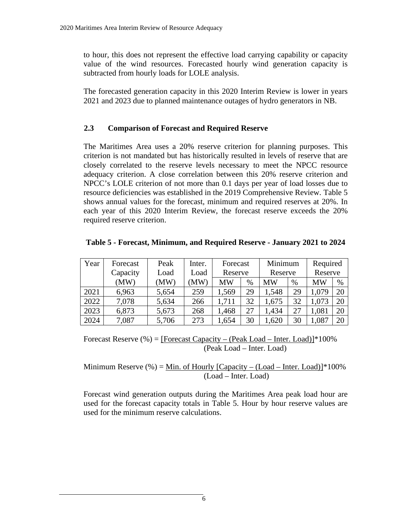to hour, this does not represent the effective load carrying capability or capacity value of the wind resources. Forecasted hourly wind generation capacity is subtracted from hourly loads for LOLE analysis.

The forecasted generation capacity in this 2020 Interim Review is lower in years 2021 and 2023 due to planned maintenance outages of hydro generators in NB.

#### <span id="page-7-0"></span>**2.3 Comparison of Forecast and Required Reserve**

The Maritimes Area uses a 20% reserve criterion for planning purposes. This criterion is not mandated but has historically resulted in levels of reserve that are closely correlated to the reserve levels necessary to meet the NPCC resource adequacy criterion. A close correlation between this 20% reserve criterion and NPCC's LOLE criterion of not more than 0.1 days per year of load losses due to resource deficiencies was established in the 2019 Comprehensive Review. Table 5 shows annual values for the forecast, minimum and required reserves at 20%. In each year of this 2020 Interim Review, the forecast reserve exceeds the 20% required reserve criterion.

<span id="page-7-1"></span>

| Year | Forecast | Peak  | Inter. | Forecast  |      | Minimum   |      | Required |                |
|------|----------|-------|--------|-----------|------|-----------|------|----------|----------------|
|      | Capacity | Load  | Load   | Reserve   |      | Reserve   |      | Reserve  |                |
|      | (MW)     | (MW)  | MW)    | <b>MW</b> | $\%$ | <b>MW</b> | $\%$ | MW       | $\%$           |
| 2021 | 6,963    | 5,654 | 259    | 1,569     | 29   | 1,548     | 29   | 1,079    | 20             |
| 2022 | 7,078    | 5,634 | 266    | 1,711     | 32   | 1,675     | 32   | 1,073    | 2 <sub>0</sub> |
| 2023 | 6,873    | 5,673 | 268    | 1,468     | 27   | 1,434     | 27   | 1,081    | 20             |
| 2024 | 7,087    | 5,706 | 273    | 1,654     | 30   | 1,620     | 30   | 1,087    | 2(             |

Forecast Reserve  $%$  = [Forecast Capacity – (Peak Load – Inter. Load)]\*100% (Peak Load – Inter. Load)

Minimum Reserve  $%$  = Min. of Hourly [Capacity – (Load – Inter. Load)]\*100% (Load – Inter. Load)

Forecast wind generation outputs during the Maritimes Area peak load hour are used for the forecast capacity totals in Table 5. Hour by hour reserve values are used for the minimum reserve calculations.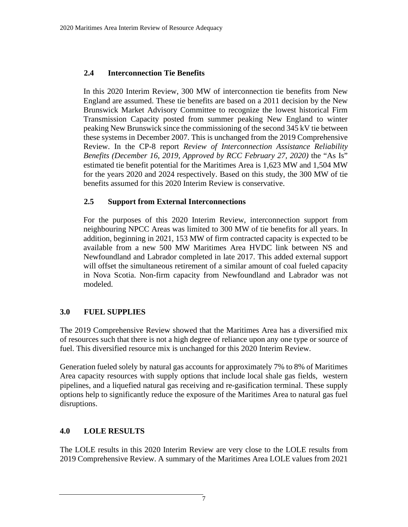#### <span id="page-8-0"></span>**2.4 Interconnection Tie Benefits**

In this 2020 Interim Review, 300 MW of interconnection tie benefits from New England are assumed. These tie benefits are based on a 2011 decision by the New Brunswick Market Advisory Committee to recognize the lowest historical Firm Transmission Capacity posted from summer peaking New England to winter peaking New Brunswick since the commissioning of the second 345 kV tie between these systems in December 2007. This is unchanged from the 2019 Comprehensive Review. In the CP-8 report *Review of Interconnection Assistance Reliability Benefits (December 16, 2019, Approved by RCC February 27, 2020)* the "As Is" estimated tie benefit potential for the Maritimes Area is 1,623 MW and 1,504 MW for the years 2020 and 2024 respectively. Based on this study, the 300 MW of tie benefits assumed for this 2020 Interim Review is conservative.

## <span id="page-8-1"></span>**2.5 Support from External Interconnections**

For the purposes of this 2020 Interim Review, interconnection support from neighbouring NPCC Areas was limited to 300 MW of tie benefits for all years. In addition, beginning in 2021, 153 MW of firm contracted capacity is expected to be available from a new 500 MW Maritimes Area HVDC link between NS and Newfoundland and Labrador completed in late 2017. This added external support will offset the simultaneous retirement of a similar amount of coal fueled capacity in Nova Scotia. Non-firm capacity from Newfoundland and Labrador was not modeled.

# <span id="page-8-2"></span>**3.0 FUEL SUPPLIES**

The 2019 Comprehensive Review showed that the Maritimes Area has a diversified mix of resources such that there is not a high degree of reliance upon any one type or source of fuel. This diversified resource mix is unchanged for this 2020 Interim Review.

Generation fueled solely by natural gas accounts for approximately 7% to 8% of Maritimes Area capacity resources with supply options that include local shale gas fields, western pipelines, and a liquefied natural gas receiving and re-gasification terminal. These supply options help to significantly reduce the exposure of the Maritimes Area to natural gas fuel disruptions.

# <span id="page-8-3"></span>**4.0 LOLE RESULTS**

The LOLE results in this 2020 Interim Review are very close to the LOLE results from 2019 Comprehensive Review. A summary of the Maritimes Area LOLE values from 2021